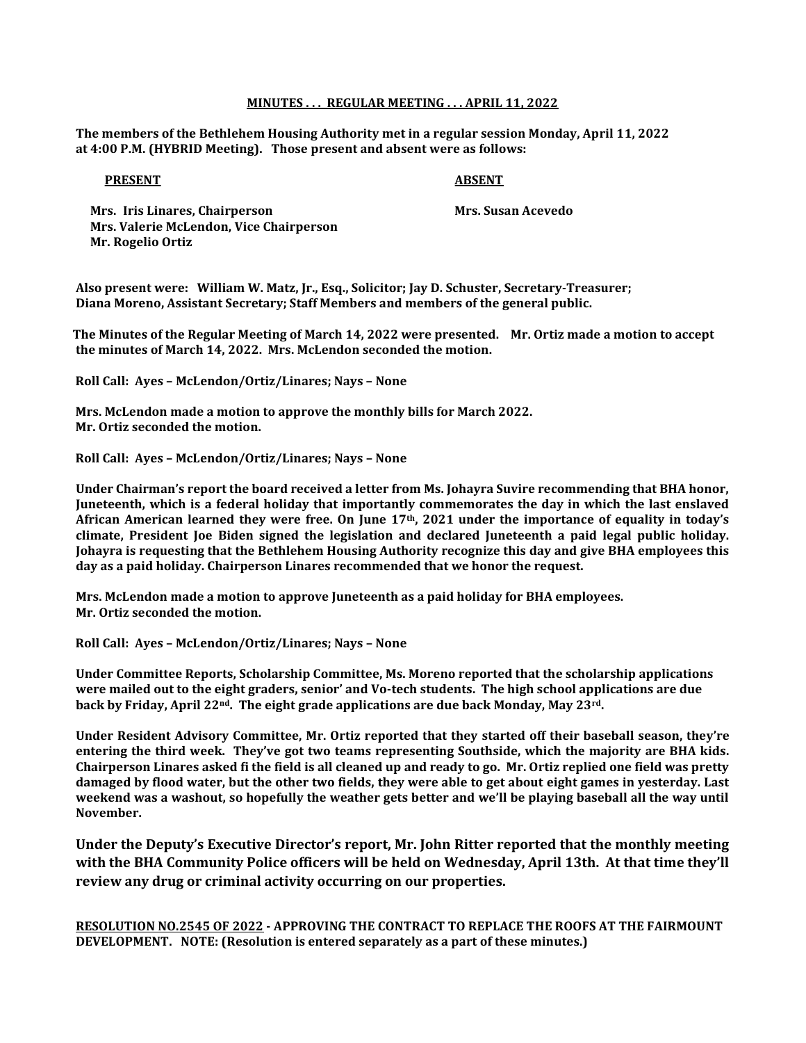# MINUTES . . . REGULAR MEETING . . . APRIL 11, 2022

The members of the Bethlehem Housing Authority met in a regular session Monday, April 11, 2022 at 4:00 P.M. (HYBRID Meeting). Those present and absent were as follows:

### PRESENT ABSENT

Mrs. Iris Linares, Chairperson **Mrs. Susan Acevedo**  Mrs. Valerie McLendon, Vice Chairperson Mr. Rogelio Ortiz

Also present were: William W. Matz, Jr., Esq., Solicitor; Jay D. Schuster, Secretary-Treasurer; Diana Moreno, Assistant Secretary; Staff Members and members of the general public.

 The Minutes of the Regular Meeting of March 14, 2022 were presented. Mr. Ortiz made a motion to accept the minutes of March 14, 2022. Mrs. McLendon seconded the motion.

Roll Call: Ayes – McLendon/Ortiz/Linares; Nays – None

 Mrs. McLendon made a motion to approve the monthly bills for March 2022. Mr. Ortiz seconded the motion.

Roll Call: Ayes – McLendon/Ortiz/Linares; Nays – None

Under Chairman's report the board received a letter from Ms. Johayra Suvire recommending that BHA honor, Juneteenth, which is a federal holiday that importantly commemorates the day in which the last enslaved African American learned they were free. On June 17th, 2021 under the importance of equality in today's climate, President Joe Biden signed the legislation and declared Juneteenth a paid legal public holiday. Johayra is requesting that the Bethlehem Housing Authority recognize this day and give BHA employees this day as a paid holiday. Chairperson Linares recommended that we honor the request.

Mrs. McLendon made a motion to approve Juneteenth as a paid holiday for BHA employees. Mr. Ortiz seconded the motion.

Roll Call: Ayes – McLendon/Ortiz/Linares; Nays – None

Under Committee Reports, Scholarship Committee, Ms. Moreno reported that the scholarship applications were mailed out to the eight graders, senior' and Vo-tech students. The high school applications are due back by Friday, April  $22^{nd}$ . The eight grade applications are due back Monday, May  $23^{rd}$ .

Under Resident Advisory Committee, Mr. Ortiz reported that they started off their baseball season, they're entering the third week. They've got two teams representing Southside, which the majority are BHA kids. Chairperson Linares asked fi the field is all cleaned up and ready to go. Mr. Ortiz replied one field was pretty damaged by flood water, but the other two fields, they were able to get about eight games in yesterday. Last weekend was a washout, so hopefully the weather gets better and we'll be playing baseball all the way until November.

Under the Deputy's Executive Director's report, Mr. John Ritter reported that the monthly meeting with the BHA Community Police officers will be held on Wednesday, April 13th. At that time they'll review any drug or criminal activity occurring on our properties.

RESOLUTION NO.2545 OF 2022 - APPROVING THE CONTRACT TO REPLACE THE ROOFS AT THE FAIRMOUNT DEVELOPMENT. NOTE: (Resolution is entered separately as a part of these minutes.)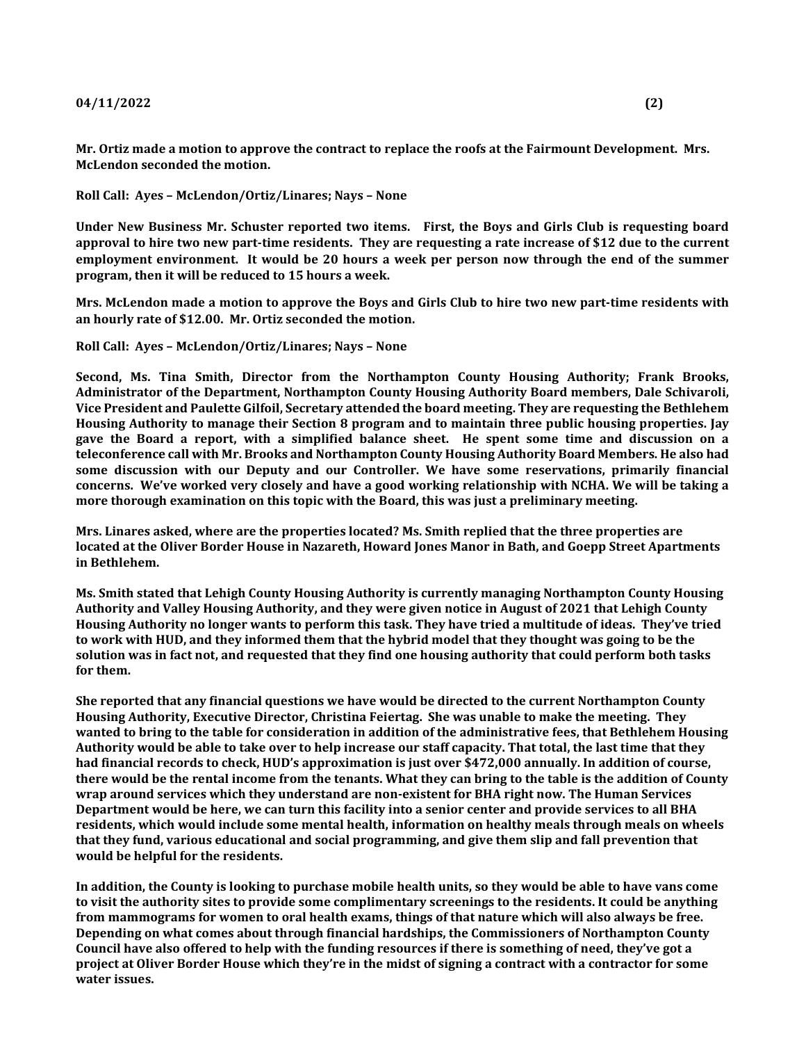## $04/11/2022$  (2)

Mr. Ortiz made a motion to approve the contract to replace the roofs at the Fairmount Development. Mrs. McLendon seconded the motion.

Roll Call: Ayes – McLendon/Ortiz/Linares; Nays – None

Under New Business Mr. Schuster reported two items. First, the Boys and Girls Club is requesting board approval to hire two new part-time residents. They are requesting a rate increase of \$12 due to the current employment environment. It would be 20 hours a week per person now through the end of the summer program, then it will be reduced to 15 hours a week.

Mrs. McLendon made a motion to approve the Boys and Girls Club to hire two new part-time residents with an hourly rate of \$12.00. Mr. Ortiz seconded the motion.

Roll Call: Ayes – McLendon/Ortiz/Linares; Nays – None

Second, Ms. Tina Smith, Director from the Northampton County Housing Authority; Frank Brooks, Administrator of the Department, Northampton County Housing Authority Board members, Dale Schivaroli, Vice President and Paulette Gilfoil, Secretary attended the board meeting. They are requesting the Bethlehem Housing Authority to manage their Section 8 program and to maintain three public housing properties. Jay gave the Board a report, with a simplified balance sheet. He spent some time and discussion on a teleconference call with Mr. Brooks and Northampton County Housing Authority Board Members. He also had some discussion with our Deputy and our Controller. We have some reservations, primarily financial concerns. We've worked very closely and have a good working relationship with NCHA. We will be taking a more thorough examination on this topic with the Board, this was just a preliminary meeting.

Mrs. Linares asked, where are the properties located? Ms. Smith replied that the three properties are located at the Oliver Border House in Nazareth, Howard Jones Manor in Bath, and Goepp Street Apartments in Bethlehem.

Ms. Smith stated that Lehigh County Housing Authority is currently managing Northampton County Housing Authority and Valley Housing Authority, and they were given notice in August of 2021 that Lehigh County Housing Authority no longer wants to perform this task. They have tried a multitude of ideas. They've tried to work with HUD, and they informed them that the hybrid model that they thought was going to be the solution was in fact not, and requested that they find one housing authority that could perform both tasks for them.

She reported that any financial questions we have would be directed to the current Northampton County Housing Authority, Executive Director, Christina Feiertag. She was unable to make the meeting. They wanted to bring to the table for consideration in addition of the administrative fees, that Bethlehem Housing Authority would be able to take over to help increase our staff capacity. That total, the last time that they had financial records to check, HUD's approximation is just over \$472,000 annually. In addition of course, there would be the rental income from the tenants. What they can bring to the table is the addition of County wrap around services which they understand are non-existent for BHA right now. The Human Services Department would be here, we can turn this facility into a senior center and provide services to all BHA residents, which would include some mental health, information on healthy meals through meals on wheels that they fund, various educational and social programming, and give them slip and fall prevention that would be helpful for the residents.

In addition, the County is looking to purchase mobile health units, so they would be able to have vans come to visit the authority sites to provide some complimentary screenings to the residents. It could be anything from mammograms for women to oral health exams, things of that nature which will also always be free. Depending on what comes about through financial hardships, the Commissioners of Northampton County Council have also offered to help with the funding resources if there is something of need, they've got a project at Oliver Border House which they're in the midst of signing a contract with a contractor for some water issues.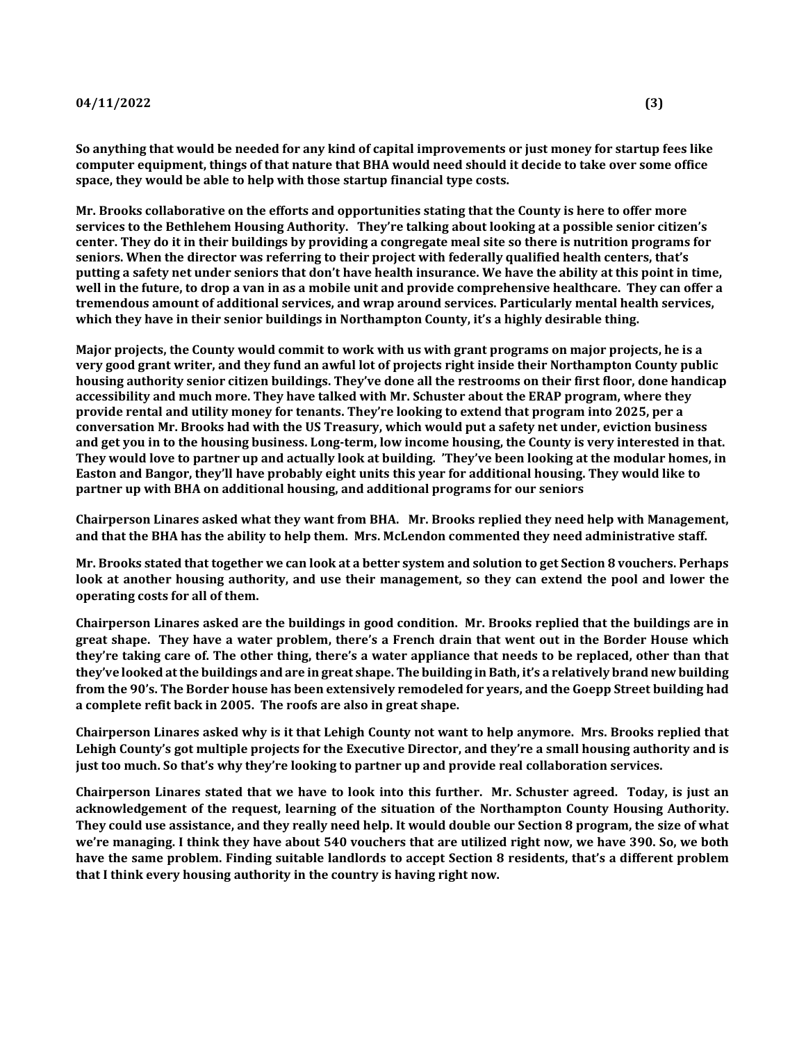So anything that would be needed for any kind of capital improvements or just money for startup fees like computer equipment, things of that nature that BHA would need should it decide to take over some office space, they would be able to help with those startup financial type costs.

Mr. Brooks collaborative on the efforts and opportunities stating that the County is here to offer more services to the Bethlehem Housing Authority. They're talking about looking at a possible senior citizen's center. They do it in their buildings by providing a congregate meal site so there is nutrition programs for seniors. When the director was referring to their project with federally qualified health centers, that's putting a safety net under seniors that don't have health insurance. We have the ability at this point in time, well in the future, to drop a van in as a mobile unit and provide comprehensive healthcare. They can offer a tremendous amount of additional services, and wrap around services. Particularly mental health services, which they have in their senior buildings in Northampton County, it's a highly desirable thing.

Major projects, the County would commit to work with us with grant programs on major projects, he is a very good grant writer, and they fund an awful lot of projects right inside their Northampton County public housing authority senior citizen buildings. They've done all the restrooms on their first floor, done handicap accessibility and much more. They have talked with Mr. Schuster about the ERAP program, where they provide rental and utility money for tenants. They're looking to extend that program into 2025, per a conversation Mr. Brooks had with the US Treasury, which would put a safety net under, eviction business and get you in to the housing business. Long-term, low income housing, the County is very interested in that. They would love to partner up and actually look at building. 'They've been looking at the modular homes, in Easton and Bangor, they'll have probably eight units this year for additional housing. They would like to partner up with BHA on additional housing, and additional programs for our seniors

Chairperson Linares asked what they want from BHA. Mr. Brooks replied they need help with Management, and that the BHA has the ability to help them. Mrs. McLendon commented they need administrative staff.

Mr. Brooks stated that together we can look at a better system and solution to get Section 8 vouchers. Perhaps look at another housing authority, and use their management, so they can extend the pool and lower the operating costs for all of them.

Chairperson Linares asked are the buildings in good condition. Mr. Brooks replied that the buildings are in great shape. They have a water problem, there's a French drain that went out in the Border House which they're taking care of. The other thing, there's a water appliance that needs to be replaced, other than that they've looked at the buildings and are in great shape. The building in Bath, it's a relatively brand new building from the 90's. The Border house has been extensively remodeled for years, and the Goepp Street building had a complete refit back in 2005. The roofs are also in great shape.

Chairperson Linares asked why is it that Lehigh County not want to help anymore. Mrs. Brooks replied that Lehigh County's got multiple projects for the Executive Director, and they're a small housing authority and is just too much. So that's why they're looking to partner up and provide real collaboration services.

Chairperson Linares stated that we have to look into this further. Mr. Schuster agreed. Today, is just an acknowledgement of the request, learning of the situation of the Northampton County Housing Authority. They could use assistance, and they really need help. It would double our Section 8 program, the size of what we're managing. I think they have about 540 vouchers that are utilized right now, we have 390. So, we both have the same problem. Finding suitable landlords to accept Section 8 residents, that's a different problem that I think every housing authority in the country is having right now.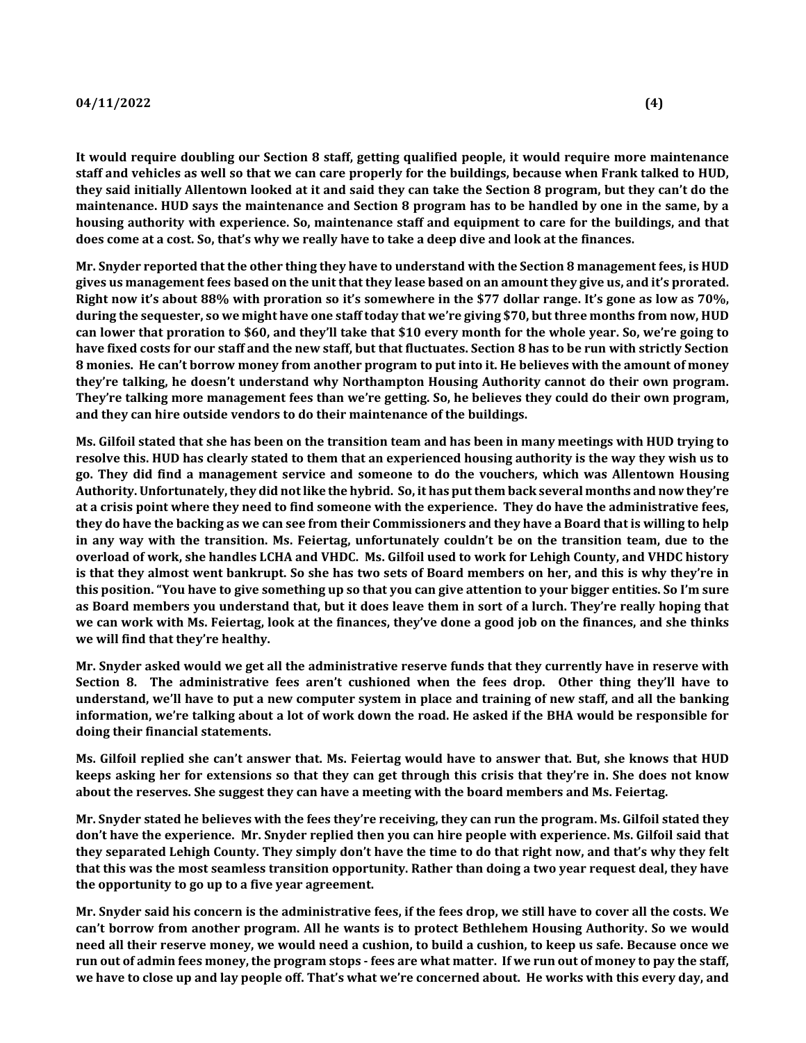# $04/11/2022$  (4)

It would require doubling our Section 8 staff, getting qualified people, it would require more maintenance staff and vehicles as well so that we can care properly for the buildings, because when Frank talked to HUD, they said initially Allentown looked at it and said they can take the Section 8 program, but they can't do the maintenance. HUD says the maintenance and Section 8 program has to be handled by one in the same, by a housing authority with experience. So, maintenance staff and equipment to care for the buildings, and that does come at a cost. So, that's why we really have to take a deep dive and look at the finances.

Mr. Snyder reported that the other thing they have to understand with the Section 8 management fees, is HUD gives us management fees based on the unit that they lease based on an amount they give us, and it's prorated. Right now it's about 88% with proration so it's somewhere in the \$77 dollar range. It's gone as low as 70%, during the sequester, so we might have one staff today that we're giving \$70, but three months from now, HUD can lower that proration to \$60, and they'll take that \$10 every month for the whole year. So, we're going to have fixed costs for our staff and the new staff, but that fluctuates. Section 8 has to be run with strictly Section 8 monies. He can't borrow money from another program to put into it. He believes with the amount of money they're talking, he doesn't understand why Northampton Housing Authority cannot do their own program. They're talking more management fees than we're getting. So, he believes they could do their own program, and they can hire outside vendors to do their maintenance of the buildings.

Ms. Gilfoil stated that she has been on the transition team and has been in many meetings with HUD trying to resolve this. HUD has clearly stated to them that an experienced housing authority is the way they wish us to go. They did find a management service and someone to do the vouchers, which was Allentown Housing Authority. Unfortunately, they did not like the hybrid. So, it has put them back several months and now they're at a crisis point where they need to find someone with the experience. They do have the administrative fees, they do have the backing as we can see from their Commissioners and they have a Board that is willing to help in any way with the transition. Ms. Feiertag, unfortunately couldn't be on the transition team, due to the overload of work, she handles LCHA and VHDC. Ms. Gilfoil used to work for Lehigh County, and VHDC history is that they almost went bankrupt. So she has two sets of Board members on her, and this is why they're in this position. "You have to give something up so that you can give attention to your bigger entities. So I'm sure as Board members you understand that, but it does leave them in sort of a lurch. They're really hoping that we can work with Ms. Feiertag, look at the finances, they've done a good job on the finances, and she thinks we will find that they're healthy.

Mr. Snyder asked would we get all the administrative reserve funds that they currently have in reserve with Section 8. The administrative fees aren't cushioned when the fees drop. Other thing they'll have to understand, we'll have to put a new computer system in place and training of new staff, and all the banking information, we're talking about a lot of work down the road. He asked if the BHA would be responsible for doing their financial statements.

Ms. Gilfoil replied she can't answer that. Ms. Feiertag would have to answer that. But, she knows that HUD keeps asking her for extensions so that they can get through this crisis that they're in. She does not know about the reserves. She suggest they can have a meeting with the board members and Ms. Feiertag.

Mr. Snyder stated he believes with the fees they're receiving, they can run the program. Ms. Gilfoil stated they don't have the experience. Mr. Snyder replied then you can hire people with experience. Ms. Gilfoil said that they separated Lehigh County. They simply don't have the time to do that right now, and that's why they felt that this was the most seamless transition opportunity. Rather than doing a two year request deal, they have the opportunity to go up to a five year agreement.

Mr. Snyder said his concern is the administrative fees, if the fees drop, we still have to cover all the costs. We can't borrow from another program. All he wants is to protect Bethlehem Housing Authority. So we would need all their reserve money, we would need a cushion, to build a cushion, to keep us safe. Because once we run out of admin fees money, the program stops - fees are what matter. If we run out of money to pay the staff, we have to close up and lay people off. That's what we're concerned about. He works with this every day, and